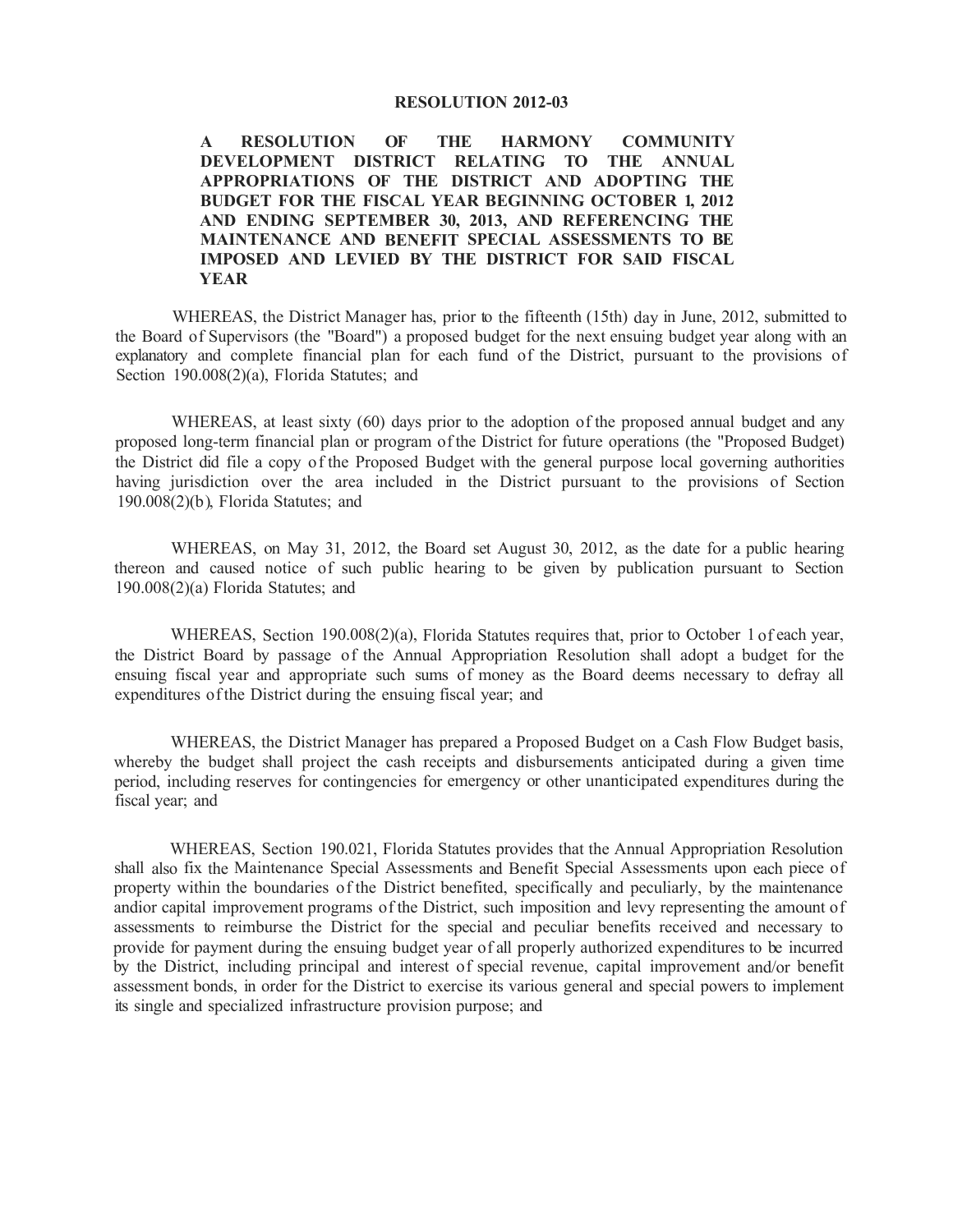#### **RESOLUTION 2012-03**

**A RESOLUTION OF THE HARMONY COMMUNITY DEVELOPMENT DISTRICT RELATING TO THE ANNUAL APPROPRIATIONS OF THE DISTRICT AND ADOPTING THE BUDGET FOR THE FISCAL YEAR BEGINNING OCTOBER 1, 2012 AND ENDING SEPTEMBER 30, 2013, AND REFERENCING THE MAINTENANCE AND BENEFIT SPECIAL ASSESSMENTS TO BE IMPOSED AND LEVIED BY THE DISTRICT FOR SAID FISCAL YEAR** 

WHEREAS, the District Manager has, prior to the fifteenth (15th) day in June, 2012, submitted to the Board of Supervisors (the "Board") a proposed budget for the next ensuing budget year along with an explanatory and complete financial plan for each fund of the District, pursuant to the provisions of Section 190.008(2)(a), Florida Statutes; and

WHEREAS, at least sixty (60) days prior to the adoption of the proposed annual budget and any proposed long-term financial plan or program of the District for future operations (the "Proposed Budget) the District did file a copy of the Proposed Budget with the general purpose local governing authorities having jurisdiction over the area included in the District pursuant to the provisions of Section 190.008(2)(b), Florida Statutes; and

WHEREAS, on May 31, 2012, the Board set August 30, 2012, as the date for a public hearing thereon and caused notice of such public hearing to be given by publication pursuant to Section l 90.008(2)(a) Florida Statutes; and

WHEREAS, Section 190.008(2)(a), Florida Statutes requires that, prior to October 1 of each year, the District Board by passage of the Annual Appropriation Resolution shall adopt a budget for the ensuing fiscal year and appropriate such sums of money as the Board deems necessary to defray all expenditures of the District during the ensuing fiscal year; and

WHEREAS, the District Manager has prepared a Proposed Budget on a Cash Flow Budget basis, whereby the budget shall project the cash receipts and disbursements anticipated during a given time period, including reserves for contingencies for emergency or other unanticipated expenditures during the fiscal year; and

WHEREAS, Section 190.021, Florida Statutes provides that the Annual Appropriation Resolution shall also fix the Maintenance Special Assessments and Benefit Special Assessments upon each piece of property within the boundaries of the District benefited, specifically and peculiarly, by the maintenance andior capital improvement programs of the District, such imposition and levy representing the amount of assessments to reimburse the District for the special and peculiar benefits received and necessary to provide for payment during the ensuing budget year of all properly authorized expenditures to be incurred by the District, including principal and interest of special revenue, capital improvement and/or benefit assessment bonds, in order for the District to exercise its various general and special powers to implement its single and specialized infrastructure provision purpose; and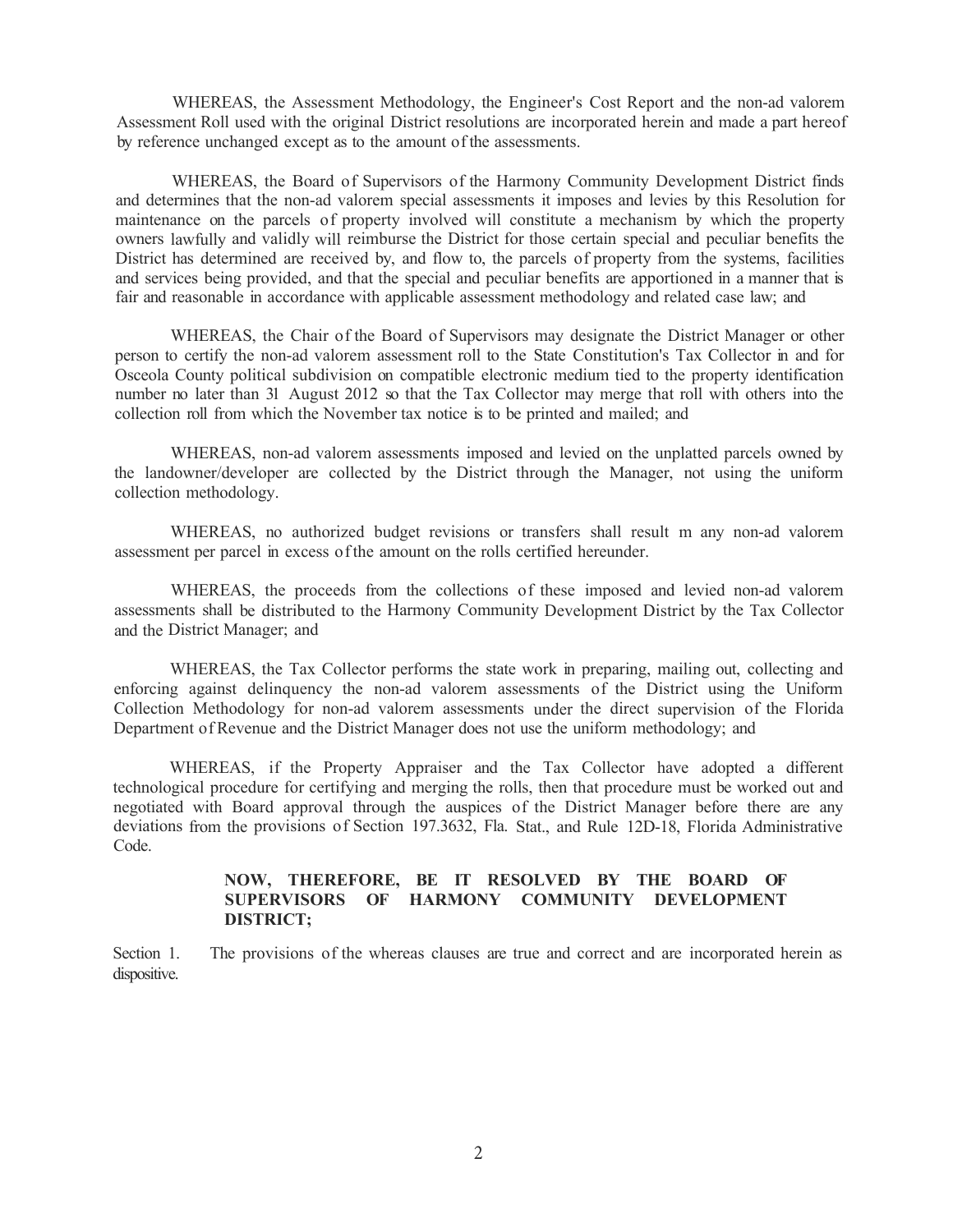WHEREAS, the Assessment Methodology, the Engineer's Cost Report and the non-ad valorem Assessment Roll used with the original District resolutions are incorporated herein and made a part hereof by reference unchanged except as to the amount of the assessments.

WHEREAS, the Board of Supervisors of the Harmony Community Development District finds and determines that the non-ad valorem special assessments it imposes and levies by this Resolution for maintenance on the parcels of property involved will constitute a mechanism by which the property owners lawfully and validly will reimburse the District for those certain special and peculiar benefits the District has determined are received by, and flow to, the parcels of property from the systems, facilities and services being provided, and that the special and peculiar benefits are apportioned in a manner that is fair and reasonable in accordance with applicable assessment methodology and related case law; and

WHEREAS, the Chair of the Board of Supervisors may designate the District Manager or other person to certify the non-ad valorem assessment roll to the State Constitution's Tax Collector in and for Osceola County political subdivision on compatible electronic medium tied to the property identification number no later than 31 August 2012 so that the Tax Collector may merge that roll with others into the collection roll from which the November tax notice is to be printed and mailed; and

WHEREAS, non-ad valorem assessments imposed and levied on the unplatted parcels owned by the landowner/developer are collected by the District through the Manager, not using the uniform collection methodology.

WHEREAS, no authorized budget revisions or transfers shall result m any non-ad valorem assessment per parcel in excess of the amount on the rolls certified hereunder.

WHEREAS, the proceeds from the collections of these imposed and levied non-ad valorem assessments shall be distributed to the Harmony Community Development District by the Tax Collector and the District Manager; and

WHEREAS, the Tax Collector performs the state work in preparing, mailing out, collecting and enforcing against delinquency the non-ad valorem assessments of the District using the Uniform Collection Methodology for non-ad valorem assessments under the direct supervision of the Florida Department of Revenue and the District Manager does not use the uniform methodology; and

WHEREAS, if the Property Appraiser and the Tax Collector have adopted a different technological procedure for certifying and merging the rolls, then that procedure must be worked out and negotiated with Board approval through the auspices of the District Manager before there are any deviations from the provisions of Section 197.3632, Fla. Stat., and Rule 12D-18, Florida Administrative Code.

## **NOW, THEREFORE, BE IT RESOLVED BY THE BOARD OF SUPERVISORS OF HARMONY COMMUNITY DEVELOPMENT DISTRICT;**

Section 1. The provisions of the whereas clauses are true and correct and are incorporated herein as dispositive.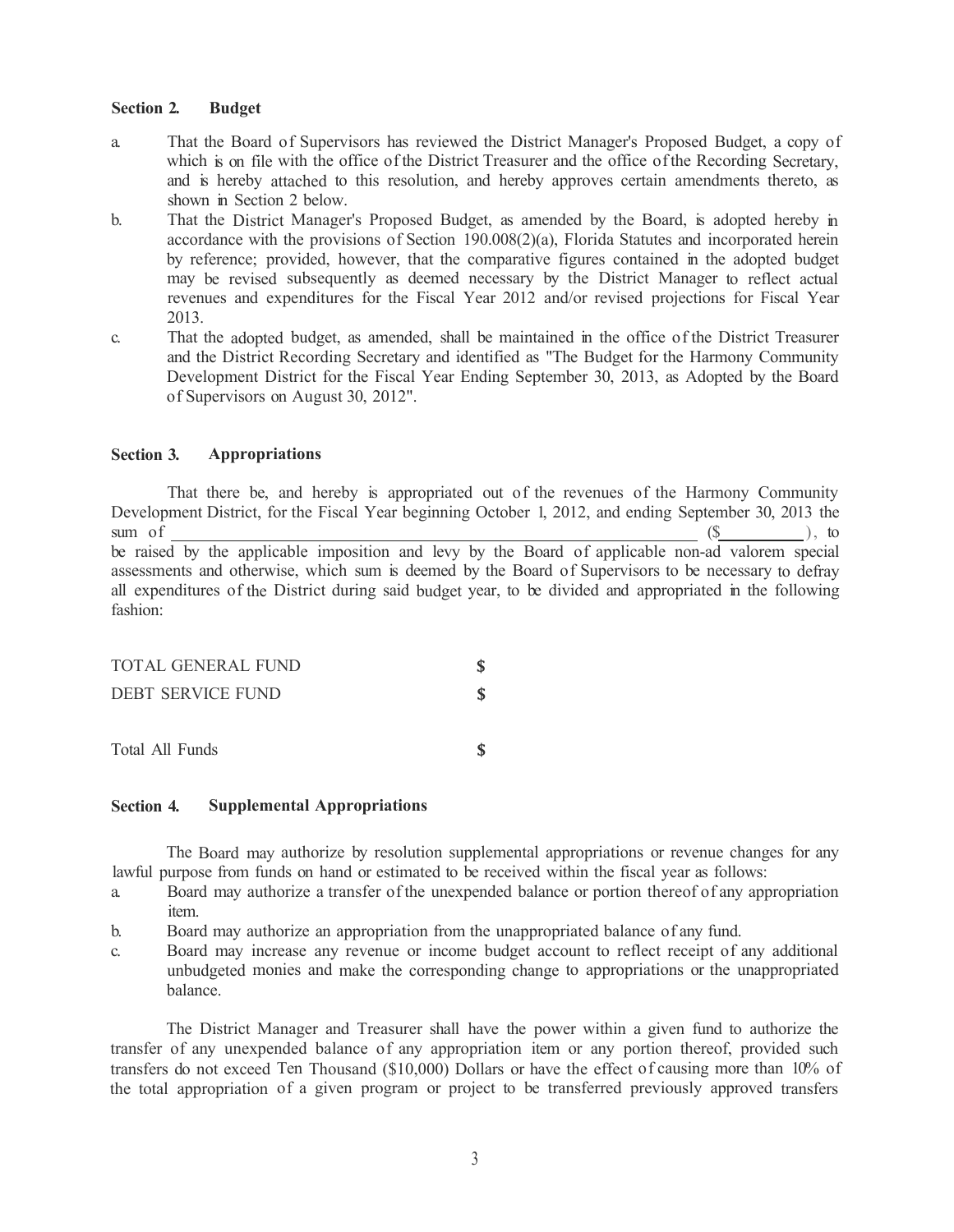## **Section 2. Budget**

- a. That the Board of Supervisors has reviewed the District Manager's Proposed Budget, a copy of which is on file with the office of the District Treasurer and the office of the Recording Secretary, and is hereby attached to this resolution, and hereby approves certain amendments thereto, as shown in Section 2 below.
- b. That the District Manager's Proposed Budget, as amended by the Board, is adopted hereby in accordance with the provisions of Section 190.008(2)(a), Florida Statutes and incorporated herein by reference; provided, however, that the comparative figures contained in the adopted budget may be revised subsequently as deemed necessary by the District Manager to reflect actual revenues and expenditures for the Fiscal Year 2012 and/or revised projections for Fiscal Year 2013.
- c. That the adopted budget, as amended, shall be maintained in the office of the District Treasurer and the District Recording Secretary and identified as "The Budget for the Harmony Community Development District for the Fiscal Year Ending September 30, 2013, as Adopted by the Board of Supervisors on August 30, 2012".

# **Section 3. Appropriations**

That there be, and hereby is appropriated out of the revenues of the Harmony Community Development District, for the Fiscal Year beginning October 1, 2012, and ending September 30, 2013 the sum of  $($ \$ be raised by the applicable imposition and levy by the Board of applicable non-ad valorem special assessments and otherwise, which sum is deemed by the Board of Supervisors to be necessary to defray all expenditures of the District during said budget year, to be divided and appropriated in the following fashion:

| TOTAL GENERAL FUND |  |
|--------------------|--|
| DEBT SERVICE FUND  |  |
| Total All Funds    |  |
|                    |  |

#### **Section 4. Supplemental Appropriations**

The Board may authorize by resolution supplemental appropriations or revenue changes for any lawful purpose from funds on hand or estimated to be received within the fiscal year as follows:

**\$** 

- a. Board may authorize a transfer of the unexpended balance or portion thereof of any appropriation item.
- b. Board may authorize an appropriation from the unappropriated balance of any fund.
- c. Board may increase any revenue or income budget account to reflect receipt of any additional unbudgeted monies and make the corresponding change to appropriations or the unappropriated balance.

The District Manager and Treasurer shall have the power within a given fund to authorize the transfer of any unexpended balance of any appropriation item or any portion thereof, provided such transfers do not exceed Ten Thousand (\$10,000) Dollars or have the effect of causing more than 10% of the total appropriation of a given program or project to be transferred previously approved transfers